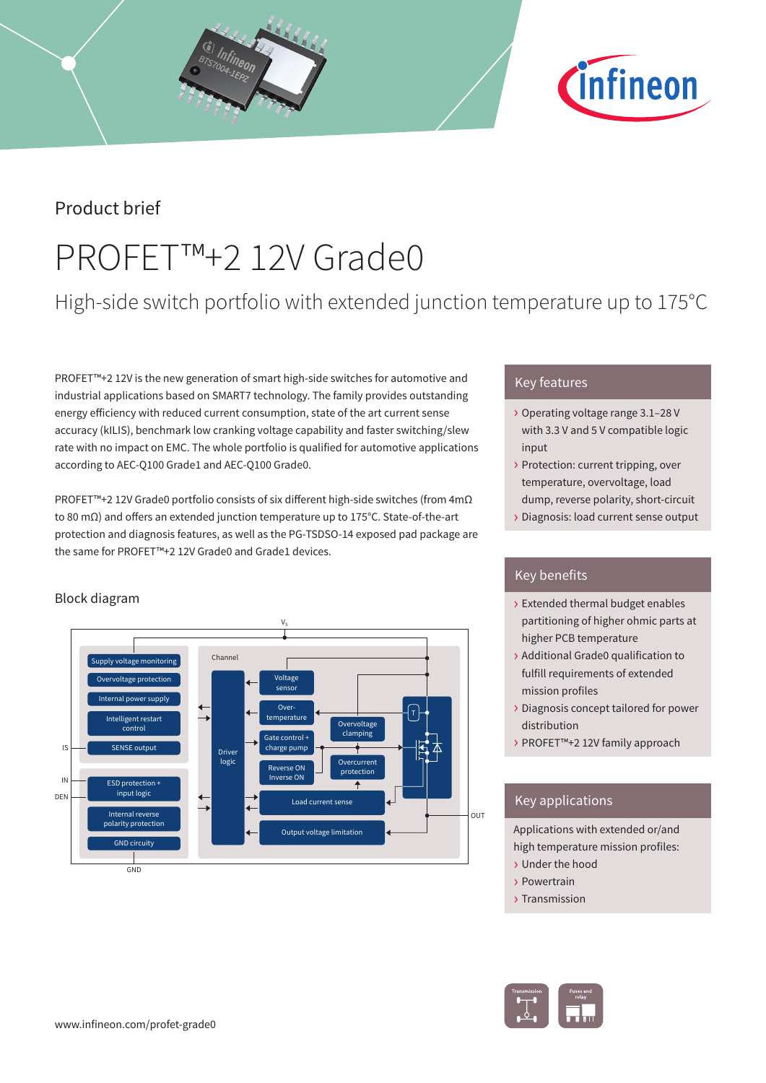

## Product brief

# PROFET™+2 12V Grade0

# High-side switch portfolio with extended junction temperature up to 175°C

PROFET™+2 12V is the new generation of smart high-side switches for automotive and industrial applications based on SMART7 technology. The family provides outstanding energy efficiency with reduced current consumption, state of the art current sense accuracy (kILIS), benchmark low cranking voltage capability and faster switching/slew rate with no impact on EMC. The whole portfolio is qualified for automotive applications according to AEC-Q100 Grade1 and AEC-Q100 Grade0.

PROFET™+2 12V Grade0 portfolio consists of six different high-side switches (from 4mΩ to 80 mΩ) and offers an extended junction temperature up to 175°C. State-of-the-art protection and diagnosis features, as well as the PG-TSDSO-14 exposed pad package are the same for PROFET™+2 12V Grade0 and Grade1 devices.

### Block diagram



### Key features

- › Operating voltage range 3.1–28 V with 3.3 V and 5 V compatible logic input
- › Protection: current tripping, over temperature, overvoltage, load dump, reverse polarity, short-circuit
- › Diagnosis: load current sense output

### Key benefits

- › Extended thermal budget enables partitioning of higher ohmic parts at higher PCB temperature
- › Additional Grade0 qualification to fulfill requirements of extended mission profiles
- › Diagnosis concept tailored for power distribution
- › PROFET™+2 12V family approach

### Key applications

Applications with extended or/and high temperature mission profiles:

- › Under the hood
- › Powertrain
- › Transmission